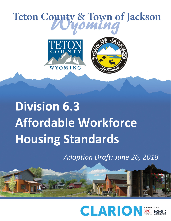# **Div. 6.3 Affordable Workforce Housing Standards –** *Adoption Draft 6.3.1 Purpose and Findings*



# **Division 6.3 Affordable Workforce Housing Standards**

*Adoption Draft: June 26, 2018*

<span id="page-0-0"></span>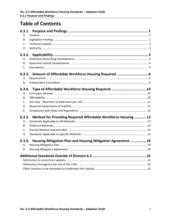# **Table of Contents**

| 6.3.1.                                                                 |  |
|------------------------------------------------------------------------|--|
| А.                                                                     |  |
| В.                                                                     |  |
| C.                                                                     |  |
| D.                                                                     |  |
| 6.3.2.                                                                 |  |
| Α.                                                                     |  |
| В.                                                                     |  |
| C.                                                                     |  |
|                                                                        |  |
| Α.                                                                     |  |
| <b>B.</b>                                                              |  |
|                                                                        |  |
| Type of Affordable Workforce Housing Required 10<br>6.3.4.<br>Α.       |  |
| В.                                                                     |  |
| C.                                                                     |  |
| D.                                                                     |  |
| Ε.                                                                     |  |
|                                                                        |  |
| 6.3.5.<br>Method for Providing Required Affordable Workforce Housing13 |  |
| А.                                                                     |  |
| В.                                                                     |  |
| C.                                                                     |  |
| D.                                                                     |  |
| 6.3.6.<br>Housing Mitigation Plan and Housing Mitigation Agreement  19 |  |
| А.                                                                     |  |
| В.                                                                     |  |
|                                                                        |  |
|                                                                        |  |
|                                                                        |  |
|                                                                        |  |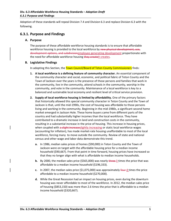Adoption of these standards will repeal Division 7.4 and Division 6.3 and replace Division 6.3 with the following.

# <span id="page-2-0"></span>**6.3.1. Purpose and Findings**

#### <span id="page-2-1"></span>**A. Purpose**

The purpose of these affordable workforce housing standards is to ensure that affordable workforce housing is provided to the local workforce by new physical development, use, development options, and subdivisionemployee generating development proportionate with the need for affordable workforce housing they createit creates.

#### <span id="page-2-2"></span>**B. Legislative Findings**

In adopting this Section, the Town Council/Board of Teton County Commissioners finds:

- **1. A local workforce is a defining feature of community character.** An essential component of the community character and social, economic, and political fabric of Teton County and the Town of Jackson over the years is the presence of those persons and families that work in the community, live in the community, attend schools in the community, worship in the community, and vote in the community. Maintenance of a local workforce is key to a balanced and sustainable local economy and resilient level of critical service provision.
- **2. Supply of local workforce housing is limited by affordability.** One of the primary factors that historically allowed this special community character in Teton County and the Town of Jackson is that, until the mid-1990s, the cost of housing was affordable to those persons living and working in the community. Beginning in the mid-1980s, a significant second home market emerged in Jackson Hole. These home buyers came from different parts of the country and had substantially higher incomes than the local workforce. They have contributed to a dramatic increase in land and construction costs in the community, resulting in a substantial increase in the price of housing. This increase in housing prices, when coupled with a slight increaseslightly increasing or static local workforce wages (accounting for inflation), has made market-rate housing unaffordable to most of the local workforce, forcing many to move outside the community. Review of state and national census and other wage and labor data demonstrate this trend.
	- **a.** In 1986, median sales prices of homes (\$90,000) in Teton County and the Town of Jackson were on target with the affordable housing price for a median income household (\$90,667). From that point in time forward, housing prices have increased so that they no longer align with what is affordable to median income households.
	- **b.** By 2000, the median sales price (\$565,000) was nearly three-3 times the price that was affordable to a median income household (\$196,333).
	- **c.** In 2007, the median sales price (\$1,075,000) was approximately four 4 times the price affordable to a median income household (\$270,000).
	- **d.** While the Great Recession had an impact on housing prices, even during the downturn housing was never affordable to most of the workforce. In 2012, the median sales price of housing (\$853,150) was more than 2.6 times the price that is affordable to a median income household (\$320,667).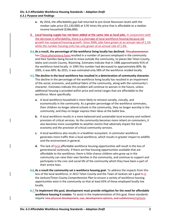- **e.** By 2016, the affordability gap had returned to pre-Great Recession levels with the median sales price (\$1,130,000) at 3.95 times the price that is affordable to a median income household (\$286,000).
- **3. Local housing supply has not been added at the same rate as local jobs.** In conjunction with the decrease in affordability, there is a shortage of local workforce housing because job growth has outpaced housing growth. Since 2000, jobs have grown at an annual rate of 2.1% while the number housing units has only grown at an annual rate of 1.6%.
- **3.4.As a result, the percentage of the workforce living locally has declined.** This phenomenon has These phenomena have resulted in a number of persons employed in the community and their families being forced to move outside the community, to places like Teton County, Idaho and Lincoln County, Wyoming. Estimates indicate that in 1986 approximately 91% of the workforce lived locally. In 1995 this number had decreased to approximately 80%. By 2005, it was 68%. By 2015, it was estimated only 58% of the workforce resided locally.
- **4.5.The decline in the local workforce has resulted in a deterioration of community character.** This decline in the percentage of the workforce living locally has resulted in an impairment of the social, economic, and political fabric of the community, along with the community's character. Estimates indicate this problem will continue to worsen in the future, unless additional housing is provided within price and rental ranges that are affordable to the workforce. More specifically:
	- **a.** A local workforce household is more likely to reinvest socially, civically, and economically in the community. As a greater percentage of the workforce commutes, their children no longer attend schools in the community, they no longer worship in the community, and they no longer express their ideas at the ballot box.
	- **b.** A local workforce results in a more balanced and sustainable local economy and resilient provision of critical services. As the community becomes more reliant on commuters, it also becomes more susceptible to weather events that adversely impact the local economy and the provision of critical community services.
	- **c.** A local workforce also results in a healthier ecosystem. A commuter workforce generates more traffic than a local workforce, which results in greater impact to wildlife and the environment in general.
	- **d.** The lack of local affordable workforce housing opportunities will result in the loss of generational continuity. If there are few housing opportunities available that are affordable to the workforce, there is little chance children who grow up in the community can raise their own families in the community, and continue to support and participate in the civic and social life of the community which they have been a part of their entire lives.
- **5.6.As a result the community set a workforce housing goal.** To address the impacts from this loss of the local workforce, in 2012 Teton County and the Town of Jackson set a goal In-in the *Jackson/Teton County Comprehensive Plan* to ensure a variety of workforce housing opportunities exist in the community so that at least 65% of those employed locally live locally.
- **6.7.To implement this goal, development must provide mitigation for the need for affordable workforce housing it creates.** To assist in the implementation of this goal, these standards require new physical development, use, development options, and subdivisionemployee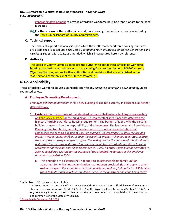generating development to provide affordable workforce housing proportionate to the need it creates.

**7.8.For these reasons**, these affordable workforce housing standards, are hereby adopted by the Town Council/Board of County Commissioners.

#### <span id="page-4-0"></span>**C. Technical support**

The technical support and analysis upon which these affordable workforce housing standards are established is based upon *The Teton County and Town of Jackson Employee Generation Land Use Study (August 22, 2013)*, as amended, which is incorporated herein by reference.

#### <span id="page-4-1"></span>**D. Authority**

The Board of County Commissioners has the authority to adopt these affordable workforce housing standards in accordance with the Wyoming Constitution, Section 18-5-202 *et. seq*., Wyoming Statutes, and such other authorities and provisions that are established in the statutory and common law of the State of Wyoming.  $1$ 

# <span id="page-4-2"></span>**6.3.2. Applicability**

These affordable workforce housing standards apply to any *employee generating development*, unless exempted below.

#### <span id="page-4-3"></span>**A. Employee Generating Development.**

*Employee generating development* is a new building or use not currently in existence, as further defined below.

- **1. Existence.** For the purpose of this standard existance shall mean a building or use existing on February [2](#page-4-5)1, 1995,<sup>2</sup> or the building or use legally established since that date with the highest affordable workforce housing requirement. The burden of identifying the existing building or use shall be the responsibility of the landowner. The landowner shall provide the Planning Director photos, permits, licenses, records, or other documentation that establishes the existing building or use. *For example. On December 18, 1995 the use of a property was a restaurant/bar. In 2000 the use of the property changed to a retail. In 2010 the use of the property changed to office. The exiting use for the purpose of this standard is restaurant/bar because restaurant/bar use has the highest affordable workforce housing requirement of the legal uses since December 18, 1995. An office space built as permitted in 2004 is considered existing for the purpose of this standard, regardless of the employee mitigation provided in 2004.*
	- **a.** This definition of existence shall not apply to an attached single-family unit or apartment for which housing mitigation has not been provided. (It shall apply to other residential uses.) *For example: An existing apartment building built prior to 1995 is being razed to build a new apartment building. Because the apartment building being razed*

<span id="page-4-4"></span> $<sup>1</sup>$  In the Town LDRs, this provision will state:</sup>

The Town Council of the Town of Jackson has the authority to adopt these affordable workforce housing standards in accordance with Article 13, Section 1 of the Wyoming Constitution, and Section 15-1-601, *et. seq*., Wyoming Statutes, and such other authorities and provisions that are established in the statutory and common law of the State of Wyoming.

<span id="page-4-5"></span><sup>&</sup>lt;sup>2</sup> Town date is December 18, 1995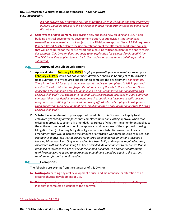*did not provide any affordable housing mitigation when it was built, the new apartment building would be subject to this Division as though the apartment building being razed did not exist.*

**2. Other types of development.** This division only applies to new building and use. A nonbuilding physical development, development option, or subdivision is not *employee generating development* and not subject to this Division, except that Sec 4.3.1.F.6 requires a Planned Resort Master Plan to include an estimation of the affordable workforce housing that will be required for the entire resort and a housing mitigation plan for the entire resort. *For example: This Division does not apply to an application for a single-family subdivision. This Division will be applied to each lot in the subdivision at the time a building permit is submitted.*

#### <span id="page-5-0"></span>**A.B. Approved Unbuilt Development**

- **1. Approval prior to February 21, 1995.[3](#page-0-0)** *Employee generating development* approved prior to February 21, 1995 which has not yet been developed shall also be subject to this Division upon submittal of any required application to complete the development. *For example: There is no "credit" for an existing vacant lot. A subdivision completed in 1992 approved construction of a detached single-family unit on each of the lots in the subdivision. Upon application for a building permit to build a unit on one of the lots in the subdivision, this Division shall apply. For example: A Planned Unit Development approved in 2004 approved commercial and residential development on a site, but did not include a specific housing mitigation plan outlining the required number of affordable and employee housing units. Upon application for a development plan, building permit, or use permit under that PUD this Division shall apply.*
- *2.* **Substantial amendment to prior approval.** In addition, this Division shall apply to all *employee generating development* not completed under an existing approval when that existing approval is substantially amended, regardless of whether the amendment applies to the entire uncompleted portion of the approval, and regardless of the approved Housing Mitigation Plan (or Housing Mitigation Agreement). A substantial amendment is any amendment that would increase the amount of affordable workforce housing required. *For example: A Sketch Plan was approved for a three building development and included a Housing Mitigation Plan. Only one building has been built, and only the required housing associated with the built building has been provided. An amendment to the Sketch Plan is proposed to increase the size of one of the unbuilt buildings. The amount of affordable workforce housing required to approve the amendment would be equal to the current requirement for both unbuilt buildings.*

#### <span id="page-5-1"></span>**B.C. Exemptions**

The following are exempt from the standards of this Division.

- **1. Existing.** An existing physical development or use, and maintenance or alteration of an existing physical development or use.
- **2. Prior approval.** Approved *employee generating development* with an approved Mitigation Plan that is completed pursuant to the approval.

<sup>&</sup>lt;sup>3</sup> Town date is December 18, 1995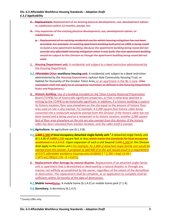- **3. Replacement.** Replacement of an existing physical development, use, development option, or subdivision within 12 months, except for:
- **4.** Any expansion of the existing physical development, use, development option, or subdivision; or
	- **a.** Replacement of an existing residential use for which housing mitigation has not been provided. *For example: An existing apartment building built prior to 1995 is being razed to build a new apartment building. Because the apartment building being razed did not provide any affordable housing mitigation when it was built, the new apartment building would be subject to this Division as though the apartment building being razed did not exist.*
- **1. Housing Department unit.** A residential unit subject to a deed restriction administered by the Housing Department.
- **5.2.Affordable Other workforce housing unit.** A residential unit subject to a deed restriction administered by the Housing Department, Jackson Hole Community Housing Trust, or Habitat for Humanity of the Greater Teton Area; or an apartment in the NL-5 zone. (This exemption shall not apply to an occupancy restriction as defined in the Housing Department Rules and Regulations.)
- **3. Historic building.** Use of a building included on the Teton County Historical Preservation Board (TCHPB) list of historically significant properties, or that is otherwise deemed in writing by the TCHPB to be historically significant. In addition, if a historic building is used in its historic location, floor area elsewhere on the site equal to the amount of historic floor area used on-site is also exempt. *For example: A 2,000 square foot historic cabin being converted into a restaurant would be exempt from this Division. If the historic cabin has not been moved and is being used as a restaurant in its historic location, another 2,000 square feet of floor area elsewhere on the site are also exempt from this division. If the historic cabin has been relocated from another location, only the cabin itself is exempt.*
- **6.4.Agriculture.** An agriculture use (6.1.3.B).
- **7.5.2,000 2,500 sf local occupancy detached single-family unit.[4](#page-6-0)** A detached single-family unit (6.1.4.B) of 2,000 2,500 square feet or less, which meets the standards for local occupancy established in 6.3.3.A.8. (Upon expansion of such a unit beyond 2,000-2,500 sf, this Division shall apply to the entire unit.) *For example: An 1,800 sf detached single-family unit would be exempt from this Section. A proposal to add 900 sf to the unit would result in a requirement of 0.071 affordable workforce housing units (0.000017 \* 2,700 +* Exp(-15.49 + 1.59\*Ln(2,700))/2.176 - *0 = 0.071).*
- **6. Replacement after damage by natural disaster.** Replacement of an attached single-family unit or apartment that is demolished or destroyed by a natural disaster or through any manner not willfully accomplished by the owner, regardless of the extent of the demolition or destruction. The replacement shall be complete, or an application to complete shall be sufficient, within 18 months of the date of destruction.
- **8.7.Mobile homeHome.** A mobile home (6.1.4.E) or mobile home park (7.1.4).
- **9.8. Dormitory.** A dormitory (6.1.4.F).

<span id="page-6-0"></span> <sup>4</sup> County LDRs only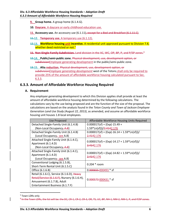**9. Group home.** A group home (6.1.4.G).

**10. Daycare.** A daycare or early childhood education use.

**11. Accessory use.** An accessory use (6.1.11), except for a Bed and Breakfast (6.1.11.C).

**11.12. Temporary use.** A temporary use (6.1.12).

**12.13. Workforce housing unit incentive.** A residential unit approved pursuant to Division 7.8, whether deed restricted or not.<sup>[5](#page-7-2)</sup>

**11. Non-Single-Family Subdivision.** Land division in the AC, WC, OP, BP, P, and P/SP zones. [6](#page-7-3)

# <span id="page-7-0"></span>**6.3.3. Amount of Affordable Workforce Housing Required**

#### <span id="page-7-1"></span>**A. Requirement**

Any *employee generating development* to which this Division applies shall provide at least the amount of affordable workforce housing determined by the following calculations. The calculations vary by the use being proposed and are the function of the size of the proposal. The calculations are based on the analysis found in the *Teton County and Town of Jackson Employee Generation Land Use Study (August 22, 2013)*, as amended, and assume an affordable workforce housing unit houses 1.8 local employees.

| <b>Use Proposed</b>                          | Affordable Workforce Housing Units Required                             |  |
|----------------------------------------------|-------------------------------------------------------------------------|--|
| Detached Single-Family Unit (6.1.4.B)        | $0.000017$ (sf) + (Exp(-15.49 +                                         |  |
| (Non-Local Occupancy, A.8)                   | 1.59*Ln(sf)))/ <del>2.414</del> 2.176                                   |  |
| Detached Single-Family Unit (6.1.4.B)        | $0.000017(sf) + (Exp(-16.14 + 1.59*Ln(sf)))/$                           |  |
| (Local Occupancy, see A.8)                   | <del>2.414</del> 2.176                                                  |  |
| Attached Single-Family Unit (6.1.4.C),       |                                                                         |  |
| Apartment (6.1.4.D)                          | $0.000017(sf) + (Exp(-14.17 + 1.59*Ln(sf)))/$<br><del>2.414</del> 2.176 |  |
| (Non-Local Occupancy, A.8)                   |                                                                         |  |
| Attached Single-Family Unit (6.1.4.C),       | $0.000017$ (sf) + (Exp(-14.82 + 1.59*Ln(sf)))/                          |  |
| Apartment (6.1.4.D)                          | 2.4142.176                                                              |  |
| (Local Occupancy, see A.8)                   |                                                                         |  |
| Conventional Lodging (6.1.5.B),              | $0.204 * room$                                                          |  |
| Short-Term Rental Unit (6.1.5.C)             |                                                                         |  |
| Office (6.1.6.B)                             | $0.000655000493$ * sf                                                   |  |
| Retail (6.1.6.C), Service (6.1.6.D), Heavy   |                                                                         |  |
| Retail/Service (6.1.6.F), Nursery (6.1.6.H), |                                                                         |  |
| Amusement (6.1.7.B), Adult                   | $0.000573000431$ * sf                                                   |  |
| Entertainment Business (6.1.7.F)             |                                                                         |  |

<span id="page-7-2"></span>5 Town LDRs only

**<sup>12.14.</sup> Public/semi-public zone.** Physical development, use, development option, or subdivisionEmployee generating development in the public/semi-public zone.

**<sup>13.15.</sup> Alta reduction.** Physical development, use, development option, or subdivision*Employee generating development* west of the Tetons shall only be required to provide 25% of the amount of affordable workforce housing calculated pursuant to Sec. 6.3.3.

<span id="page-7-3"></span> $6$  In the Town LDRs, the list will be: the DC, CR-1, CR-2, CR-3, OR, TS, UC, BP, NH-1, NM-2, NM-1, P, and P/SP zones.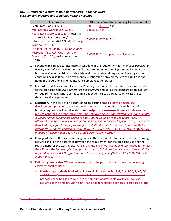| Use Proposed                               | Affordable Workforce Housing Units Required |
|--------------------------------------------|---------------------------------------------|
| Restaurant/Bar (6.1.6.E)                   | 0.001589-001197 * sf                        |
| Mini-Storage Warehouse (6.1.6.G)           | $0.000013 * sf$                             |
| Heavy Retail/Service (6.1.6.F), Industrial |                                             |
| Uses (6.1.9), Transportation/              | $0.000326000246$ * sf                       |
| Infrastructure Uses (6.1.10), Mini-Storage |                                             |
| <del>Warehouse (6.1.6.G)</del>             |                                             |
| Outdoor Recreation (6.1.3.C), Developed    |                                             |
| Recreation (6.1.7.D), Outfitter/Tour       | 0.000698 * sfindependent calculation        |
| Operator (6.1.7.E), Institutional Uses     |                                             |
| (6.1.8)                                    |                                             |

- **1. Schedule and calculator available.** A schedule of the requirement for *employee generating development* of various sizes and a calculator to use in determining the requirement are both available in the Administrative Manual. The residential requirement is a logarithmic equation because there is an exponential relationship between the size of a unit and the number of operations and maintenance employees generated.
- **2. Use not listed.** For uses not listed, the Planning Director shall either find a use comparable to the proposed *employee generating development* and utilize the comparable calculation, or require the applicant to conduct an independent calculation pursuant to 6.3.3.B to determine the requirement.
- **3. Expansion.** In the case of an expansion to an existing physical development, use, development option, or subdivisionbuilding or use, the amount of affordable workforce housing required shall be calculated based only on the expansiondifference between the requirement for the proposed and existing *employee generating development*. *For example: A 5,000 sf office building proposing to add 1,500 sf would be required to provide 0.74 affordable workforce housing units (0.000493 \* 6,500 - 0.000493 \* 5,000 = 0.74). A 3,000 sf detached single family home proposing to add 500 sf would be required to provide 0.017 affordable workforce housing units (0.000017 \* 3,500 +* Exp(-15.49 + 1.59\*Ln(3,500))/2.176 - *0.000017 \* 3,000 +* Exp(-15.49 + 1.59\*Ln(3,000))/2.176 *= 0.017)*
- **4. Change of Use.** In the case of a change of use, the amount of affordable workforce housing required shall be the difference between the requirement for the proposed use and the requirement for the existing use. An existing use shall not have been discontinued for longer than 12 months.*For example: A proposal to use a 2,000 sf retail space as an office would be required to include 0.124 affordable workforce housing units (0.000493 \* 2,000 - 0.000431 \* 2,000 = 0.124)*
- **5. Estimating use or size.** Where the use or size of the proposal is unknown, the following estimates shall be used:
	- **a. Platting vacant single family-lots.** For subdivision in the R-1, R-2, R-3, R-TC, S, NC, BC, and AR zones<sup>[7](#page-8-0)</sup>, the maximum habitable floor area allowed above ground on each lot proposed shall be used to calculate the amount of affordable workforce housing required at the time of subdivision. If additional habitable floor area is proposed at the

<span id="page-8-0"></span><sup>&</sup>lt;sup>7</sup> In the Town LDRs, the list will be: the R, NL-1, NL-2, NL-3, and NL-4 zones.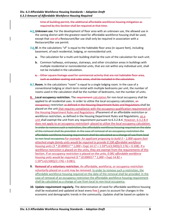time of building permit, the additional affordable workforce housing mitigation as required by this Section shall be required at that time.

- **6.5.Unknown use.** For the development of floor area with an unknown use, the allowed use in the zoning district with the greatest need for affordable workforce housing shall be used, except that use of a Restaurant/Bar use shall only be required in association with a Restaurant/Bar use permit.
- **7.6.Sf.** In the calculations "sf" is equal to the habitable floor area (in square feet), including basement, of each residential, lodging, or nonresidential unit.
	- **a.** The calculation for a multi-unit building shall be the sum of the calculation for each unit.
	- **b.** Common hallways, entryways, stairways, and other circulation areas in buildings with multiple residential or nonresidential units, that are not within any individual unit, shall not be included in the calculation.
	- **c.** Other square footage used for commercial activity that are not habitable floor area, such as outdoor seating and sales areas, shall be included in the calculation.
- **8.7.Room.** In the calculations "room" is equal to a single lodging room. In the case of a conventional lodging or short-term rental with multiple bedrooms per unit, the number of rooms used in the calculation shall be the number of bedrooms, not the number of units.
- **8. Local occupancy restriction.** The requirement calculation for non-local occupancy shall be applied to all residential uses. In order to utilize the local occupancy calculation, an occupancya restriction as defined in the Housing Department Rules and Regulations shall be placed on the unit that requires compliance with the occupancy qualification requirement of the Housing Department Rules and Regulations. (Placement of an affordable restriction or workforce restriction, as defined in the Housing Department Rules and Regulations, on a unit shall exempt the unit from any requirement pursuant to 6.3.2.B.4. However, 6.3.2.B.4 does not apply to an occupancy restriction. placed to utilize the local occupancy calculation. In order to remove such a restriction, the affordable workforce housing required on the date of the removal shall be provided. In the case of removal of an occupancy restriction the affordable workforce housing requirement shall be calculated as a change of use from local to non-local occupancy.*For example: An applicant proposing to build 3 – 1,000 square foot attached single-family units would be required to provide 0.108 affordable workforce housing units (3 \* (0.000017 \* 1,000 +* Exp(-14.17 + 1.59\*Ln(3,500))/2.176) = 0.108). If a workforce restriction is placed on the units, they are exempt from the requirements of this Section. If an occupancy restriction is placed on the units, *0.081 affordable workforce housing units would be required (3 \* (0.000017 \* 1,000 +* Exp(-14.82 +  $1.59*Ln(3,500)/2.176) = 0.081$ .
- **9. Removal of a voluntary restriction.** An affordable, workforce, or occupancy restriction voluntarily placed on a unit may be removed. In order to remove such a restriction, the affordable workforce housing required on the date of the removal shall be provided. In the case of removal of an occupancy restriction the affordable workforce housing requirement shall be calculated as a change of use from local to non-local occupancy.
- **10. Update requirement regularly.** The determination of need for affordable workforce housing shall be evaluated and updated at least every five 5 years to account for changes in the economic and demographic trends in the community. Updates shall be based on update to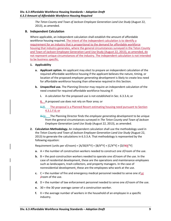*The Teton County and Town of Jackson Employee Generation Land Use Study* (August 22, 2013), as amended.

#### <span id="page-10-0"></span>**B. Independent Calculation**

Where applicable, an independent calculation shall establish the amount of affordable workforce housing required. The intent of the independent calculation is to identify a requirement for an industry that is proportional to the demand for affordable workforce housing that industry generates, where the general circumstances surveyed in the Teton County and Town of Jackson Employee Generation Land Use Study (August 22, 2013), as amended, do not represent unique circumstances of the industry. The independent calculation is not intended to be business specific.

#### **1. Applicability**

- **a. Applicant option.** An applicant may elect to prepare an independent calculation of the required affordable workforce housing if the applicant believes the nature, timing, or location of the proposed *employee generating development* is likely to create less need for affordable workforce housing than otherwise required in this Section.
- **b. Unspecified use.** The Planning Director may require an independent calculation of the need created for required affordable workforce housing if:
	- **i.** A calculation for the proposed use is not established in Sec. 6.3.3.A; or

**ii.** A proposed use does not rely on floor area; or

**ii.iii.** The proposal is a Planned Resort estimating housing need pursuant to Section 4.3.1.F.6; or

- **iii.**iv. The Planning Director finds the *employee generating development* to be unique from the general circumstances surveyed in *The Teton County and Town of Jackson Employee Generation Land Use Study* (August 22, 2013), as amended.
- **2. Calculation Methodology.** An independent calculation shall use the methodology used in the *Teton County and Town of Jackson Employee Generation Land Use Study* (August 22, 2013) to generate the calculations in 6.3.3.A. That methodology is represented by the following equation:

Requirement (units per sf/room) =  $[A/30/X*Y] + [B/X*Y] + [C/X*Y] + [D/\frac{W}{X*Y}]$ 

- **a.** A = the number of construction workers needed to construct one sf/room of the use.
- **b.** B = the post-construction workers needed to operate one sf/room of the use. In the case of residential development, these are the operations and maintenance employees such as landscapers, trash collectors, and property managers. In the case of nonresidential development, these are the employees who work at the use.
- **c.** C = the number of fire and emergency medical personnel needed to serve one sfor  $\frac{1}{2}$ room of the use.
- **d.** D = the number of law enforcement personnel needed to serve one sf/room of the use.
- **e.** 30 = the 30 year average career of a construction worker.
- **f.** X = the average number of workers in the household of an employee in a specific industry.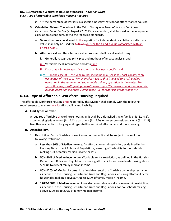- **g.** Y = the percentage of workers in a specific industry that cannot afford market housing.
- **3. Calculation Values.** The values in the *Teton County and Town of Jackson Employee Generation Land Use Study* (August 22, 2013), as amended, shall be used in the independent calculation except pursuant to the following standards.
	- **a. Values that may be altered.** In the equation for independent calculation an alternate value shall only be used for  $A$ ,  $B$ , or  $CA$ ,  $B$ , or the X and Y values associated with an altered A or B.
	- **b. Alternate values.** The alternate value proposed shall be calculated using:
		- **i.** Generally recognized principles and methods of impact analysis; and
		- **ii.** Verifiable local information and data; and

**iii.** Data that is industry specific rather than business specific; and

**ii.iv.** In the case of B, the year-round, including dual-seasonal, post-construction occupancy of the space. *For example: A space that is leased to a raft guiding operation in the summer and snowmobile guiding operation in the winter. For a space that size, a raft guiding operation averages 10 employees and a snowmobile guiding operation averages 7 employees. "B" for that use of that space = 7*.

# <span id="page-11-0"></span>**6.3.4. Type of Affordable Workforce Housing Required**

The affordable workforce housing units required by this Division shall comply with the following requirements to ensure their its affordability and livability.

#### <span id="page-11-1"></span>**A. Unit types allowed.**

A required affordable or workforce housing unit shall be a detached single-family unit (6.1.4.B), attached single-family unit (6.1.4.C), apartment (6.1.4.D), or accessory residential unit (6.1.11.B). No other residential or lodging unit type shall be required affordable workforce housing.

#### <span id="page-11-2"></span>**B. Affordability.**

- **1. Restriction.** Each affordable or workforce housing unit shall be subject to one of the following restrictions.
	- **a. Less than 50% of Median Income.** An affordable rental restriction, as defined in the Housing Department Rules and Regulations, ensuring affordability for households making 50% of family median income or less.
	- **b. 50%-80% of Median Income.** An affordable rental restriction, as defined in the Housing Department Rules and Regulations, ensuring affordability for households making above 50% up to 80% of family median income.
	- **c. 80%-120% of Median Income.** An affordable rental or affordable ownership restriction, as defined in the Housing Department Rules and Regulations, ensuring affordability for households making above 80% up to 120% of family median income.
	- **d. 120%-200% of Median Income.** A workforce rental or workforce ownership restriction, as defined in the Housing Department Rules and Regulations, for households making above 120% up to 200% of family median income.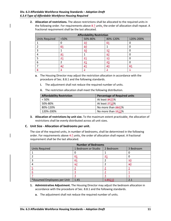**2. Allocation of restrictions.** The above restrictions shall be allocated to the required units in the following order. For requirements above  $8-7$  units, the order of allocation shall repeat. A fractional requirement shall be the last allocated.

| <b>Affordability Restriction</b> |       |                  |                |            |
|----------------------------------|-------|------------------|----------------|------------|
| <b>Units Required</b>            | < 50% | 50%-80%          | 80%-120%       | 120%-200%  |
|                                  |       | $rac{40}{5}$     | $\theta$ 1     |            |
|                                  | θ1    | $\underline{40}$ |                |            |
|                                  |       | $rac{40}{1}$     | $\pm 2$        |            |
|                                  | 21    |                  | 42             |            |
|                                  | 21    | $^{21}$          | 43             |            |
| 6                                |       | 21               | 23             |            |
|                                  | 32    | $\overline{21}$  | 23             | $\theta$ 1 |
| 8                                | 3     | 2                | $\overline{2}$ | ∔          |

- **a.** The Housing Director may adjust the restriction allocation in accordance with the procedure of Sec. 8.8.1 and the following standards.
	- **i.** The adjustment shall not reduce the required number of units.
	- **ii.** The restriction allocation shall meet the following distribution.

| <b>Affordability Restriction</b> | <b>Percentage of Required units</b> |  |
|----------------------------------|-------------------------------------|--|
| < 50%                            | At least 3425%                      |  |
| 50%-80%                          | At least 2719%                      |  |
| 80%-120%                         | No more than 2343%                  |  |
| 120%-200%                        | No more than 4513%                  |  |

**3. Allocation of restrictions by unit size.** To the maximum extent practicable, the allocation of restrictions shall be evenly distributed across all unit sizes.

#### <span id="page-12-0"></span>**C. Unit Size - Allocation of bedrooms per unit.**

The size of the required units, in number of bedrooms, shall be determined in the following order. For requirements above  $4-7$  units, the order of allocation shall repeat. A fractional requirement shall be the last allocated.

| <b>Number of Bedrooms</b>   |                       |           |           |
|-----------------------------|-----------------------|-----------|-----------|
| <b>Units Required</b>       | 1 Bedroom or Studio   | 2 Bedroom | 3 Bedroom |
|                             |                       |           |           |
|                             | $\theta$ <sup>1</sup> | 21        |           |
|                             | $\theta$ <sup>1</sup> |           | 40        |
|                             | $rac{12}{1}$          | ำ         | 40        |
|                             |                       |           |           |
|                             |                       |           |           |
|                             |                       |           |           |
| *Assumed Employees per Unit | 1.45                  | 4.852     | 2.1       |

- **1. Administrative Adjustment.** The Housing Director may adjust the bedroom allocation in accordance with the procedure of Sec. 8.8.1 and the following standards.
	- **a.** The adjustment shall not reduce the required number of units.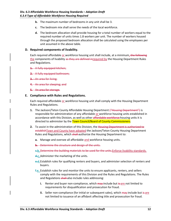- **b.** The maximum number of bedrooms in any unit shall be 3.
- **c.** The bedroom mix shall serve the needs of the local workforce.
- **d.** The bedroom allocation shall provide housing for a total number of workers equal to the required number of units times 1.8 workers per unit. The number of workers housed through the proposed bedroom allocation shall be calculated using the employees per unit assumed in the above table.

#### <span id="page-13-0"></span>**D. Required components of livability.**

Each required affordable or workforce housing unit shall include, at a minimum, the following the components of livability as they are defined inrequired by the Housing Department Rules and Regulations.

**1.** A fully equipped kitchen;

**2.** A fully equipped bathroom;

**3.** An area for living;

**4.** An area for sleeping; and

**5.** An area for storage.

#### <span id="page-13-1"></span>**E. Compliance with Rules and Regulations.**

Each required affordable or workforce housing unit shall comply with the Housing Department Rules and Regulations.

- **1.** The Jackson/Teton County Affordable Housing Department ("Housing Department") is responsible for administration of any affordable or workforce housing units established in accordance with this Division, as well as other affordable workforce-housing units it is directed to administer by the Town Council/Board of County Commissioners.
- **2.** To assist in the administration of this Division, the Housing Department is authorized to establish Town and County have adopted the Jackson/Teton County Housing Department Rules and Regulations, which shall-authorize the Housing Department to:
	- **a.** Manage and oversee all affordable and workforce housing units.
	- **b.** Determine the structure and design of the units.
	- **c.b.**Determine the building materials to be used for the units.Enforce livability standards.
	- **d.c.**Administer the marketing of the units.
	- **e.d.**Establish rules for qualifying renters and buyers, and administer selection of renters and buyers.
	- **f.e.** Establish rules for and monitor the units to ensure applicants, renters, and sellers comply with the requirements of this Division and the Rules and Regulations. The Rules and Regulations shall-also include rules addressing:
		- **i.** Renter and buyer non-compliance, which may include but is are not limited to requirements for disqualification and prosecution for fraud.
		- **ii.** Seller non-compliance (for initial or subsequent sales), which may include but is are not limited to issuance of an affidavit affecting title and prosecution for fraud.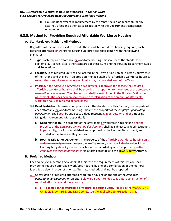**iii.** Housing Department reimbursement by the renter, seller, or applicant, for any attorney's fees and other costs associated with the Department's compliance enforcement.

### <span id="page-14-0"></span>**6.3.5. Method for Providing Required Affordable Workforce Housing**

#### <span id="page-14-1"></span>**A. Standards Applicable to All Methods**

Regardless of the method used to provide the affordable workforce housing required, each required affordable or workforce housing unit provided shall comply with the following standards.

- **1. Type.** Each required affordable or workforce housing unit shall meet the standards of Section 6.3.4, as well as all other standards of these LDRs and the Housing Department Rules and Regulations.
- **2. Location.** Each required unit shall be located in the Town of Jackson or in Teton County east of the Tetons, and shall be in an area determined suitable for affordable workforce housing, except that a requirement generated in Alta may be provided west of the Tetons.
- **3. Phasing.** If the *employee generating development* is approved for phases, the required affordable workforce housing shall be provided in proportion to the phases of the *employee generating development*. The phasing plan shall be established in the Housing Mitigation Agreement. The phasing plan shall require a recalculation of the amount of affordable workforce housing required at each phase.
- **3.4. Deed Restriction.** To ensure compliance with the standards of this Division, the property of each affordable or workforce housing unit and the property of the *employee generating*  development shall both be subject to a deed restriction, in perpetuity, and or a Housing Mitigation Agreement. More specifically:
	- **a. Deed restriction.** The property of the affordable or workforce housing unit and the property of the *employee generating development* shall be subject to a deed restriction, in perpetuity, in a form established and approved by the Housing Department, and included in the Rules and Regulations.
	- **b. Housing Mitigation Agreement**. The property of the affordable workforce housing unit and the property of the *employee generating development* shall also be subject to a Housing Mitigation Agreement which shall be recorded against the property of the *employee generating development* in a form acceptable to the Town/County Attorney.

#### <span id="page-14-2"></span>**B. Preferred Methods.**

Each *employee generating development* subject to the requirements of this Division shall provide the required affordable workforce housing by one or a combination of the methods identified below, in order of priority. Alternate methods shall not be proposed.

- **1.** Construction of required affordable workforce housing on the site of the *employee generating development,* or off-site. Below are LDRs intended to facilitate construction of required affordable workforce housing.
	- **a. FAR exemption for affordable or workforce housing units.** Applies in the WC/DC, CR-1, CR-2, CR-3, OR, NH-1, and NM-2 zones, see the applicable zone/Section 7.8.3.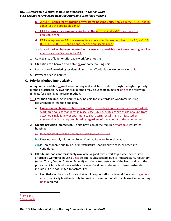- **b. 25% FAR Bonus for affordable or workforce housing units.** Applies in the TS, UC, and BP zones, see the applicable zone.<sup>[8](#page-15-1)</sup>
- **c. FAR Increases for more units.** Applies in the AR/NL-5 and NM-1 zones, see the applicable zone.
- **d. FAR exemption for ARUs accessory to a nonresidential use.** Applies in the AC, WC, OP, BP, R-1, R-2, R-3, BC, and R zones, see the applicable zone.<sup>[9](#page-15-2)</sup>
- **a.e.Shared parking between nonresidential use and affordable workforce housing.** Applies in all zones, see Section 6.2.2.B.1.
- **2.** Conveyance of land for affordable workforce housing.
- **3.** Utilization of a banked affordable or workforce housing unit.
- **4.** Restriction of an existing residential unit as an affordable workforce housing unit.
- **5.** Payment of an in-lieu fee.

#### <span id="page-15-0"></span>**C. Priority Method Impracticable**

A required affordable or workforce housing unit shall be provided through the highest priority method practicable. A lower priority method may be used upon making one of the following findings for each higher priority method.

- **1. Less than one unit.** An in-lieu fee may be paid for an affordable workforce housing requirement of less than one unit.
	- **a. Exception for change to short-term rental.** In buildings approved under the affordable workforce housing standards in place since July 18, 2018, change of use of a unit from attached-single family or apartment to short-term rental shall be mitigated by construction of the required housing regardless of the amount of the requirement.
- **2. On-site provision impractical.** On-site provision of the required affordable workforce housing:

**a.** Is inconsistent with the Comprehensive Plan or LDRs; or

**b.a.**Does not comply with other Town, County, State, or Federal laws; or

- **c.b.** Is unreasonable due to lack of infrastructure, inappropriate soils, or other site conditions.
- **3. Off-site methods not reasonably available.** A good faith effort to provide the required affordable workforce housing units off-site, is unsuccessful due to infrastructure, regulatory (either Town, County, State or Federal), or other site constraints of the land, or due to the price at which the land was available for sale. Conditions relevant to these constraints include but are not limited to factors like:
	- **a.** No off-site options are for sale that would support affordable workforce housing units at an economically feasible density to provide the amount of affordable workforce housing units required.

<span id="page-15-2"></span><span id="page-15-1"></span> <sup>8</sup> Town only <sup>9</sup> County only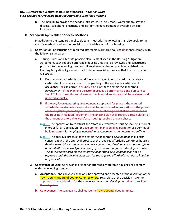**b.** The inability to provide the needed infrastructure (e.g., roads, water supply, sewage disposal, telephone, electricity and gas) for the development of available off-site locations.

#### <span id="page-16-0"></span>**D. Standards Applicable to Specific Methods**

In addition to the standards applicable to all methods, the following shall also apply to the specific method used for the provision of affordable workforce housing.

- **1. Construction.** Construction of required affordable workforce housing units-shall comply with the following standards.
	- **a. Timing.** Unless an alternate phasing plan is established in the Housing Mitigation Agreement, each required affordable housing unit shall be reviewed and constructed pursuant to the following standards. If an alternate phasing plan is established, the Housing Mitigation Agreement shall include financial assurances that the construction will occur.
		- **i.** Each required affordable or workforce housing unit constructed shall receive a certificate of occupancy prior to the granting of the applicable certificate of occupancy, or use permit, or subdivision plat for the *employee generating development*. If the Planning Director approves a performance bond pursuant to Sec. 8.2.11 to meet this requirement, the financial assurance shall be reviewed and updated annually.
		- **ii.** If the *employee generating development* is approved for phases, the required affordable workforce housing units shall be constructed in proportion to the phases of the *employee generating development*. The phasing plan shall be established in the Housing Mitigation Agreement. The phasing plan shall require a recalculation of the amount of affordable workforce housing required at each phase.
		- iii. The application to construct the affordable workforce housing shall be sufficient in order for an application for  $d$  development plan, a building permit or use permit, or building permit for *employee generating development* to be determined sufficient.
		- **iv.iii.** The approval process for the *employee generating development* shall occur concurrent with the approval process of the required affordable workforce housing development. [*For example: an employee generating development proposes off-site required affordable workforce housing of a scale that requires a development plan. The development plan for the employee generating development shall not be approved until the development plan for the required affordable workforce housing is approved.*]
- **2. Conveyance of Land.** Conveyance of land for affordable workforce housing shall comply with the following standards.
	- **a. Acceptance.** Land conveyed shall only be approved and accepted at the discretion of the Town Council/Board of County Commissioners, regardless of the decision maker on approval ofthe application for the *employee generating development* that is providing the mitigation.
	- **b. Conveyance.** The conveyance shall utilize the **Town/County** deed template.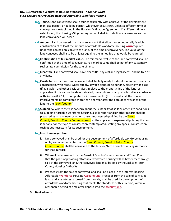- **b.c. Timing.** Land conveyance shall occur concurrently with approval of the development plan, use permit, or building permit, whichever occurs first, unless a different time of conveyance is established in the Housing Mitigation Agreement. If a different time is established, the Housing Mitigation Agreement shall include financial assurances that land conveyance will occur.
- **c.d.Amount.** Land conveyed shall be in an amount that allows for economically feasible construction of at least the amount of affordable workforce housing units required under the zoning applicable to the land, at the time of conveyance. The value of the land conveyed shall also be at least equal to the in-lieu fee that would be required.
- **d.e.Confirmation of fair market value.** The fair market value of the land conveyed shall be confirmed at the time of conveyance. Fair market value shall be net of any customary real estate commission for the sale of land.
- **e.f. Clear title.** Land conveyed shall have clear title, physical and legal access, and be free of any liens.
- **f.g. Onsite Infrastructure.** Land conveyed shall be fully ready for development and ready for construction, with roads, water supply, sewage disposal, telephone, electricity and gas (if available), and other basic services in place to the property line of the land, as applicable. If this cannot be demonstrated, the applicant shall post a bond in accordance with Section 8.2.11, to complete the improvements. (In no event shall the bonded improvements be completed more than one year after the date of conveyance of the land to the **Town/County.**)
- **g.h.Suitability.** Where there is concern about the suitability of soils or other site conditions to support affordable workforce housing, a soils report and/or other reports shall be prepared by an engineer or other consultant deemed qualified by the Town Council/Board of County Commissioners, at the applicant's expense, stipulating the land is suitable for the type of construction contemplated, stating any special construction techniques necessary for its development.

#### **h.i. Use of conveyed land.**

- **i.** Land conveyed shall be used for the development of affordable workforce housing units, and when accepted by the **Town Council/Board of Teton County** Commissioners shall be conveyed to the Jackson/Teton County Housing Authority for that purpose.
- **ii.** Where it is determined by the Board of County Commissioners and Town Council that the goals of providing affordable workforce housing will be better met through sale of the conveyed land, the conveyed land may be sold by the Jackson/Teton County Housing Authority.
- **iii.** Proceeds from the sale of conveyed land shall be placed in the interest-bearing Affordable Workforce Housing AccountFund. Proceeds from the sale of conveyed land, and any interest accrued from the sale, shall be used for development of affordable workforce housing that meets the standards of this Division, within a reasonable period of time after deposit into the accountfund.

#### **3. Banked units.**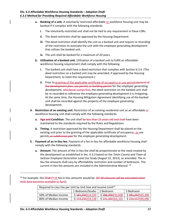- **a. Banking of a unit.** A voluntarily restricted affordable or workforce housing unit may be banked if it complies with the following standards.
	- **i.** The voluntarily restricted unit shall not be tied to any requirement in these LDRs.
	- **ii.** The deed restriction shall be approved by the Housing Department.
	- **iii.** The deed restriction shall identify the unit as a banked unit and require re-recording of the restriction to associate the unit with the *employee generating development* that utilizes the banked unit.
	- **iv.** The unit shall be banked for a maximum of 20 years.
- **b. Utilization of a banked unit.** Utilization of a banked unit to fulfill an affordable workforce housing requirement shall comply with the following.
	- **i.** The banked unit shall have a deed restriction that complies with Section 6.3.4. (The deed restriction on a banked unit may be amended, if approved by the Housing Department, to meet this requirement.)
	- **ii.** Prior to granting of the applicable certificate of occupancy or use permitapproval of the development plan, use permit, or building permit for the *employee generating*  development, whichever comes first, the deed restriction on the banked unit shall be re-recorded to reference the *employee generating development* it is mitigating. At the same time, the Housing Mitigation Agreement identifying use of the banked unit shall be recorded against the property of the *employee generating development*.
- **4. Restriction of an existing unit.** Restriction of an existing residential unit as an affordable or workforce housing unit shall comply with the following standards.
	- **a.** Age and Condition. The unit shall be less than 15 years old and shall have been maintained to the standards required by the Rules and Regulations.
	- **b. Timing.** A restriction approved by the Housing Department shall be placed on the existing unit prior to the granting of the applicable certificate of occupancy $\tau$  or use permit, or subdivision plat for the *employee generating development*.
- **5. Payment of an in-lieu fee.** Payment of a fee in-lieu for affordable workforce housing shall comply with the following standards.
	- **a. Amount.** The amount of the in-lieu fee shall be proportionate to the need created by the development as established in Sec. 6.3.3 based on the *Teton County and Town of Jackson Employee Generation Land Use Study* (August 22, 2013), as amended. The inlieu fee amounts shall vary by affordability restriction and number of bedrooms. The current in-lieu fee amounts are included in the Administrative Manual. [10](#page-18-0)

<span id="page-18-0"></span> $10$  For example: the  $FY18-FY19$  fee in-lieu amounts would be:  $(FY19)$  amounts will be calculated when HUD data becomes available in April)

| Required In-Lieu Fee per Unit by Unit Size and Income Limit <sup>10</sup> |                               |                                     |                               |
|---------------------------------------------------------------------------|-------------------------------|-------------------------------------|-------------------------------|
|                                                                           | 1 Bedroom/Studio   2 Bedroom  |                                     | 3 Bedroom                     |
| 50% of Median Income                                                      | \$4 <del>91,250</del> 314,339 | \$286,200433,608                    | \$ <del>381,262</del> 565,486 |
| 80% of Median Income                                                      | \$143,250259,138              | \$231,300364,102   \$319,537490,080 |                               |

l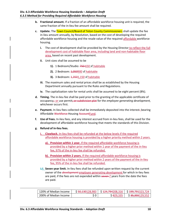- **b. Fractional amount.** If a fraction of an affordable workforce housing unit is required, the same fraction of the in-lieu fee amount shall be required.
- **c. Update.** The Town Council/Board of Teton County Commissioners shall update the fee in-lieu amount annually, by Resolution, based on the cost of developing the required affordable workforce housing and the resale value of the required affordable workforce housing.
	- **i.** The cost of development shall be provided by the Housing Director to reflect the full development cost of habitable floor area, including land and non-habitable floor area, based on recent past development.
	- **ii.** Unit sizes shall be assumed to be
		- 1). 1 Bedroom/Studio: 750-650 sf habitable
		- **2).** 2 Bedroom: <del>1,050900</del> sf habitable
		- **3).** 3 Bedroom: <del>1,350</del>1,150 sf habitable
	- **iii.** The maximum sales and rental prices shall be as established by the Housing Department annually pursuant to the Rules and Regulations.
	- **iv.** The capitalization rate for rental units shall be assumed to be eight percent (8%).
- **d. Timing.** The in-lieu fee shall be paid prior to the granting of the applicable certificate of occupancy, or use permit, or subdivision plat for the *employee generating development,*  whichever occurs first.
- **e. Payment.** In-lieu fees collected shall be immediately deposited into the interest- bearing Affordable Workforce Housing AccountFund.
- **f. Use of Fees.** In-lieu fees, and any interest accrued from in-lieu fees, shall be used for the development of affordable workforce housing that meets the standards of this Division.
- **g. Refund of in-lieu fees.**

 $\overline{\phantom{a}}$ 

- **i. Clawback.** In-lieu fees shall be refunded at the below levels if the required affordable workforce housing is provided by a higher priority method within 2 years.
	- **a). Provision within 1 year.** If the required affordable workforce housing is provided by a higher prior method within 1 year of the payment of the in-lieu fee, 97% of the in-lieu fee shall be refunded.
	- **b). Provision within 2 years.** If the required affordable workforce housing is provided by a higher prior method within 2 years of the payment of the in-lieu fee, 95% of the in-lieu fee shall be refunded.
- **i.ii. Seven year limit.** In-lieu fees shall be refunded upon written request by the current owner of the *development employee generating development* for which in-lieu fees are paid, if the fees are not expended within seven 7 years from the date the fees are paid.

| 120% of Median Income | - <del>50,130</del> 128,983 د | S <del>124.794</del> 208.316 | א ב <del>±99,79 ב</del> |
|-----------------------|-------------------------------|------------------------------|-------------------------|
| 200% of Median Income | $\Omega$<br>ັບ                |                              | —— <del>—</del>         |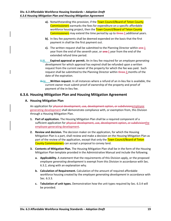- a). Notwithstanding this provision, if the **Town Council/Board of Teton County** Commissioners earmarks the fees for expenditure on a specific affordable workforce housing project, then the Town Council/Board of Teton County Commissioners may extend the time period by up to three 3 additional years.
- **b).** In-lieu fee payments shall be deemed expended on the basis that the first payment in shall be the first payment out.
- **c).** The written request shall be submitted to the Planning Director within  $\theta$ ne-1 year from the end of the seventh year, or one 1 year from the end of the extended refund time period.
- **ii.iii. Expired approval or permit.** An in-lieu fee required for an *employee generating development* for which approval has expired shall be refunded upon a written request from the current owner of the property for which the fee was paid. Such request shall be submitted to the Planning Director within three 3 months of the date of the expiration.
- **iii.iv. Written request.** In all instances where a refund of an in-lieu fee is available, the current owner must submit proof of ownership of the property and proof of payment of the in-lieu fee.

# <span id="page-20-0"></span>**6.3.6. Housing Mitigation Plan and Housing Mitigation Agreement**

#### <span id="page-20-1"></span>**A. Housing Mitigation Plan**

An application for physical development, use, development option, or subdivisionemployee generating development shall demonstrate compliance with, or exemption from, this Division through a Housing Mitigation Plan.

- **1. Part of application.** The Housing Mitigation Plan shall be a required component of a sufficient application for physical development, use, development option, or subdivisionthe employee generating development.
- **2. Review and decision.** The decision maker on the application, for which the Housing Mitigation Plan is a part, shall review and make a decision on the Housing Mitigation Plan as part of the review of the application, except that only the Town Council/Board of Teton County Commissioners can accept a proposal to convey land.
- **3. Contents of Mitigation Plan.** The Housing Mitigation Plan shall be in the form of the Housing Mitigation Plan template provided in the Administrative Manual and include the following.
	- **a. Applicability.** A statement that the requirements of this Division apply, or the proposed *employee generating development* is exempt from this Division in accordance with Sec. 6.3.2, along with an explanation why.
	- **b. Calculation of Requirement.** Calculation of the amount of required affordable workforce housing created by the *employee generating development* in accordance with Sec. 6.3.3.
	- **c. Tabulation of unit types.** Demonstration how the unit types required by Sec. 6.3.4 will be provided.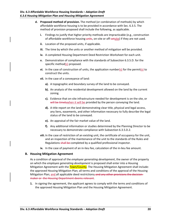- **d. Proposed method of provision.** The method (or combination of methods) by which affordable workforce housing is to be provided in accordance with Sec. 6.3.5. The method of provision proposed shall include the following, as applicable.
	- **i.** Findings to justify that higher priority methods are impracticable (e.g., construction of affordable workforce housing units, on-site or off-setsite) if they are not used.
	- **ii.** Location of the proposed units, if applicable.
	- **iii.** The time by which the units or another method of mitigation will be provided.
	- **iv.** A completed Housing Department Deed Restriction Worksheet for each unit.
	- **v.** Demonstration of compliance with the standards of Subsection 6.3.5.D. for the specific method(s) proposed.
	- **vi.** In the case of construction of units, the application number(s) for the permit(s) to construct the units.
	- **vii.** In the case of a conveyance of land:
		- **a).** A topographic and boundary survey of the land to be conveyed.
		- **b).** An analysis of the residential development allowed on the land by the current zoning.
		- **c).** Evidence that on-site infrastructure needed for development is on the site, or will be timely when it will be provided by the person conveying the land.
		- **d).** A title report on the land demonstrating clear title, physical and legal access, any liens, easements, and other information necessary to fully describe the legal status of the land to be conveyed.
		- **e).** An appraisal of the fair market value of the land.
		- **f).** Any additional information or studies determined by the Planning Director to be necessary to demonstrate compliance with Subsection 6.3.5.D.2.
	- **viii.** In the case of restriction of an existing unit, the certificate of occupancy for the unit, and an inspection of the maintenance of the unit to the standards of the Rules and Regulations shall be completed by a qualified professional inspector.
	- **ix.** In the case of payment of an in-lieu fee, calculation of the in-lieu fee amount.

#### <span id="page-21-0"></span>**B. Housing Mitigation Agreement**

As a condition of approval of the *employee generating development*, the owner of the property on which the *employee generating development* is proposed shall enter into a Housing Mitigation Agreement with the **Town/County**. The Housing Mitigation Agreement shall include: the approved Housing Mitigation Plan; all terms and conditions of the approval of the Housing Mitigation Plan; and all applicable deed restrictions; and any other provisions the decisionmaker or the Housing Department deems relevant.

**1.** In signing the agreement, the applicant agrees to comply with the terms and conditions of the approved Housing Mitigation Plan and the Housing Mitigation Agreement.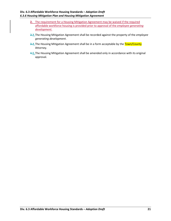- **2.** The requirement for a Housing Mitigation Agreement may be waived if the required affordable workforce housing is provided prior to approval of the *employee generating development*.
- **2.3.**The Housing Mitigation Agreement shall be recorded against the property of the *employee generating development*.
- **3.4.** The Housing Mitigation Agreement shall be in a form acceptable by the Town/County Attorney.
- **4.5.**The Housing Mitigation Agreement shall be amended only in accordance with its original approval.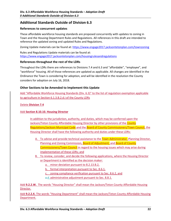# <span id="page-23-0"></span>**Additional Standards Outside of Division 6.3**

#### <span id="page-23-1"></span>**References to concurrent updates**

These affordable workforce housing standards are proposed concurrently with updates to zoning in Town and the Housing Department Rules and Regulations. All references in this draft are intended to reference the updated zoning and updated Rules and Regulations.

Zoning Update materials can be found at[: https://www.engage2017.jacksontetonplan.com/townzoning](https://www.engage2017.jacksontetonplan.com/townzoning)

Rules and Regulations Update materials can be found at: <https://www.engage2017.jacksontetonplan.com/housingrulesandregulations>

#### <span id="page-23-2"></span>**References throughout the rest of the LDRs**

Throughout the LDRs there are references to Divisions 7.4 and 6.3 and "affordable", "employee", and "workforce" housing. All of those references are updated as applicable. All changes are identified in the Ordinance the Town is considering for adoption, and will be identified in the resolution the County considers for adoption on July 16, 2018.

#### <span id="page-23-3"></span>**Other Sections to be Amended to Implement this Update**

Add "Affordable Workforce Housing Standards (Div. 6.3)" to the list of regulation exemption applicable to agriculture in Section 6.1.3.B.2.d.i of the County LDRs

#### Delete **Division 7.4**

#### Add **Section 8.10.10. Housing Director**

In addition to the jurisdiction, authority, and duties, which may be conferred upon the Jackson/Teton County Affordable Housing Director by other provisions of the County Regulations/Jackson Municipal Code and the Board of County Commissioners/Town Council, the Housing Director shall have the following authority and duties under these LDRs:

- A. To advise and provide technical assistance to the Town Administrator, Planning Director, Planning and Zoning Commission, Board of Adjustment, and Board of County Commissioners/Town Council in regard to the housing issues which may arise during implementation of these LDRs; and
- B. To review, consider, and decide the following applications, where the Housing Director or Department is identified as the decision maker:
	- a. minor deviation pursuant to 8.2.13.B.2,
	- b. formal interpretation pursuant to Sec. 8.6.1,
	- c. zoning compliance verification pursuant to Sec. 8.6.2, and
	- a.d. administrative adjustment pursuant to Sec. 8.8.1.

Add **9.2.2.W.** The words "Housing Director" shall mean the Jackson/Teton County Affordable Housing Director.

Add **9.2.2.X.** The words "Housing Department" shall mean the Jackson/Teton County Affordable Housing Department.